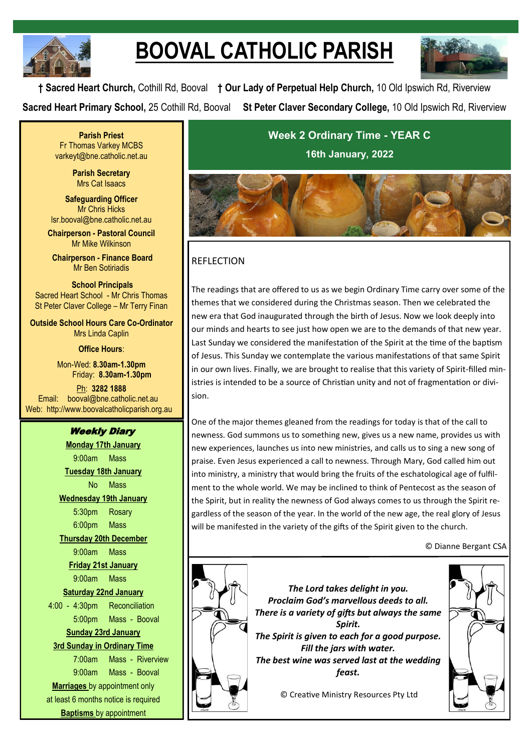

# **BOOVAL CATHOLIC PARISH**



**† Sacred Heart Church,** Cothill Rd, Booval **† Our Lady of Perpetual Help Church,** 10 Old Ipswich Rd, Riverview **Sacred Heart Primary School,** 25 Cothill Rd, Booval **St Peter Claver Secondary College,** 10 Old Ipswich Rd, Riverview

**Parish Priest** Fr Thomas Varkey MCBS varkeyt@bne.catholic.net.au

> **Parish Secretary** Mrs Cat Isaacs

**Safeguarding Officer** Mr Chris Hicks [lsr.booval@bne.catholic.net.au](mailto:lsr.booval@bne.catholi.net.au)

**Chairperson - Pastoral Council** Mr Mike Wilkinson

**Chairperson - Finance Board** Mr Ben Sotiriadis

**School Principals** Sacred Heart School - Mr Chris Thomas St Peter Claver College – Mr Terry Finan

**Outside School Hours Care Co-Ordinator** Mrs Linda Caplin

**Office Hours**:

Mon-Wed: **8.30am-1.30pm** Friday: **8.30am-1.30pm**

Ph: **3282 1888**  Email: booval@bne.catholic.net.au Web: http://www.boovalcatholicparish.org.au

# Weekly Diary

**Monday 17th January** 9:00am Mass **Tuesday 18th January** No Mass **Wednesday 19th January** 5:30pm Rosary 6:00pm Mass **Thursday 20th December** 9:00am Mass **Friday 21st January** 9:00am Mass **Saturday 22nd January** 4:00 - 4:30pm Reconciliation 5:00pm Mass - Booval **Sunday 23rd January 3rd Sunday in Ordinary Time**  7:00am Mass - Riverview 9:00am Mass - Booval **Marriages** by appointment only at least 6 months notice is required

**Baptisms** by appointment

**Week 2 Ordinary Time - YEAR C 16th January, 2022**



# REFLECTION

The readings that are offered to us as we begin Ordinary Time carry over some of the themes that we considered during the Christmas season. Then we celebrated the new era that God inaugurated through the birth of Jesus. Now we look deeply into our minds and hearts to see just how open we are to the demands of that new year. Last Sunday we considered the manifestation of the Spirit at the time of the baptism of Jesus. This Sunday we contemplate the various manifestations of that same Spirit in our own lives. Finally, we are brought to realise that this variety of Spirit-filled ministries is intended to be a source of Christian unity and not of fragmentation or division.

One of the major themes gleaned from the readings for today is that of the call to newness. God summons us to something new, gives us a new name, provides us with new experiences, launches us into new ministries, and calls us to sing a new song of praise. Even Jesus experienced a call to newness. Through Mary, God called him out into ministry, a ministry that would bring the fruits of the eschatological age of fulfilment to the whole world. We may be inclined to think of Pentecost as the season of the Spirit, but in reality the newness of God always comes to us through the Spirit regardless of the season of the year. In the world of the new age, the real glory of Jesus will be manifested in the variety of the gifts of the Spirit given to the church.

© Dianne Bergant CSA



*The Lord takes delight in you. Proclaim God's marvellous deeds to all. There is a variety of gifts but always the same Spirit. The Spirit is given to each for a good purpose. Fill the jars with water. The best wine was served last at the wedding feast.*

© Creative Ministry Resources Pty Ltd